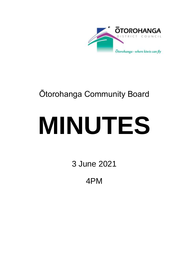

# Ōtorohanga Community Board

# **MINUTES**

3 June 2021

4PM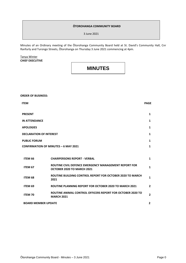#### **ŌTOROHANGA COMMUNITY BOARD**

3 June 2021

Minutes of an Ordinary meeting of the Ōtorohanga Community Board held at St. David's Community Hall, Cnr Ranfurly and Turongo Streets, Ōtorohanga on Thursday 3 June 2021 commencing at 4pm.

#### Tanya Winter **CHIEF EXECUTIVE**

### **MINUTES**

## **ORDER OF BUSINESS: ITEM PAGE PRESENT 1 IN ATTENDANCE 1 APOLOGIES 1 DECLARATION OF INTEREST 1 PUBLIC FORUM CONFIRMATION OF MINUTES – 6 MAY 2021 1 1 ITEM 66 CHAIRPERSONS REPORT - VERBAL 1 ITEM <sup>67</sup> ROUTINE CIVIL DEFENCE EMERGENCY MANAGEMENT REPORT FOR OCTOBER 2020 TO MARCH 2021 1 ITEM 68 ROUTINE BUILDING CONTROL REPORT FOR OCTOBER 2020 TO MARCH <sup>2021</sup> <sup>1</sup> ITEM 69 ROUTINE PLANNING REPORT FOR OCTOBER 2020 TO MARCH 2021 2 ITEM 70 ROUTINE ANIMAL CONTROL OFFICERS REPORT FOR OCTOBER 2020 TO MARCH 2021 <sup>2</sup> BOARD MEMBER UPDATE 2**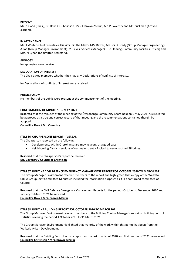#### **PRESENT**

Mr. N Gadd (Chair), Cr. Dow, Cr. Christison, Mrs. K Brown-Merrin, Mr. P Coventry and Mr. Buckman (Arrived 4.10pm).

#### **IN ATTENDANCE**

Ms. T Winter (Chief Executive), His Worship the Mayor MM Baxter, Messrs. R Brady (Group Manager Engineering), A Loe (Group Manager Environment), M. Lewis (Services Manager), J. le Fleming (Community Facilities Officer) and Mrs. N Eynon (Committee Secretary).

#### **APOLOGY**

No apologies were received.

#### **DECLARATION OF INTEREST**

The Chair asked members whether they had any Declarations of conflicts of interests.

No Declarations of conflicts of interest were received.

#### **PUBLIC FORUM**

No members of the public were present at the commencement of the meeting.

#### **CONFIRMATION OF MINUTES – 6 MAY 2021**

**Resolved** that the Minutes of the meeting of the Ōtorohanga Community Board held on 6 May 2021, as circulated be approved as a true and correct record of that meeting and the recommendations contained therein be adopted.

**Councillor Dow / Mr. Coventry** 

#### **ITEM 66 CHAIRPERSONS REPORT – VERBAL**

The Chairperson reported on the following;

- Developments within Ōtorohanga are moving along at a good pace.
- Neighbouring Districts envious of our main street Excited to see what the LTP brings.

**Resolved** that the Chairperson's report be received. **Mr. Coventry / Councillor Christison**

**ITEM 67 ROUTINE CIVIL DEFENCE EMERGENCY MANAGEMENT REPORT FOR OCTOBER 2020 TO MARCH 2021**

The Group Manager Environment referred members to the report and highlighted that a copy of the Waikato CDEM Group Joint Committee Minutes is included for information purposes as it is a confirmed committee of Council.

**Resolved** that the Civil Defence Emergency Management Reports for the periods October to December 2020 and January to March 2021 be received.

**Councillor Dow / Mrs. Brown-Merrin**

#### **ITEM 68 ROUTINE BUILDING REPORT FOR OCTOBER 2020 TO MARCH 2021**

The Group Manager Environment referred members to the Building Control Manager's report on building control statistics covering the period 1 October 2020 to 31 March 2021.

The Group Manager Environment highlighted that majority of the work within this period has been from the Waikeria Prison Development.

**Resolved** that the Building Control activity report for the last quarter of 2020 and first quarter of 2021 be received. **Councillor Christison / Mrs. Brown-Merrin**